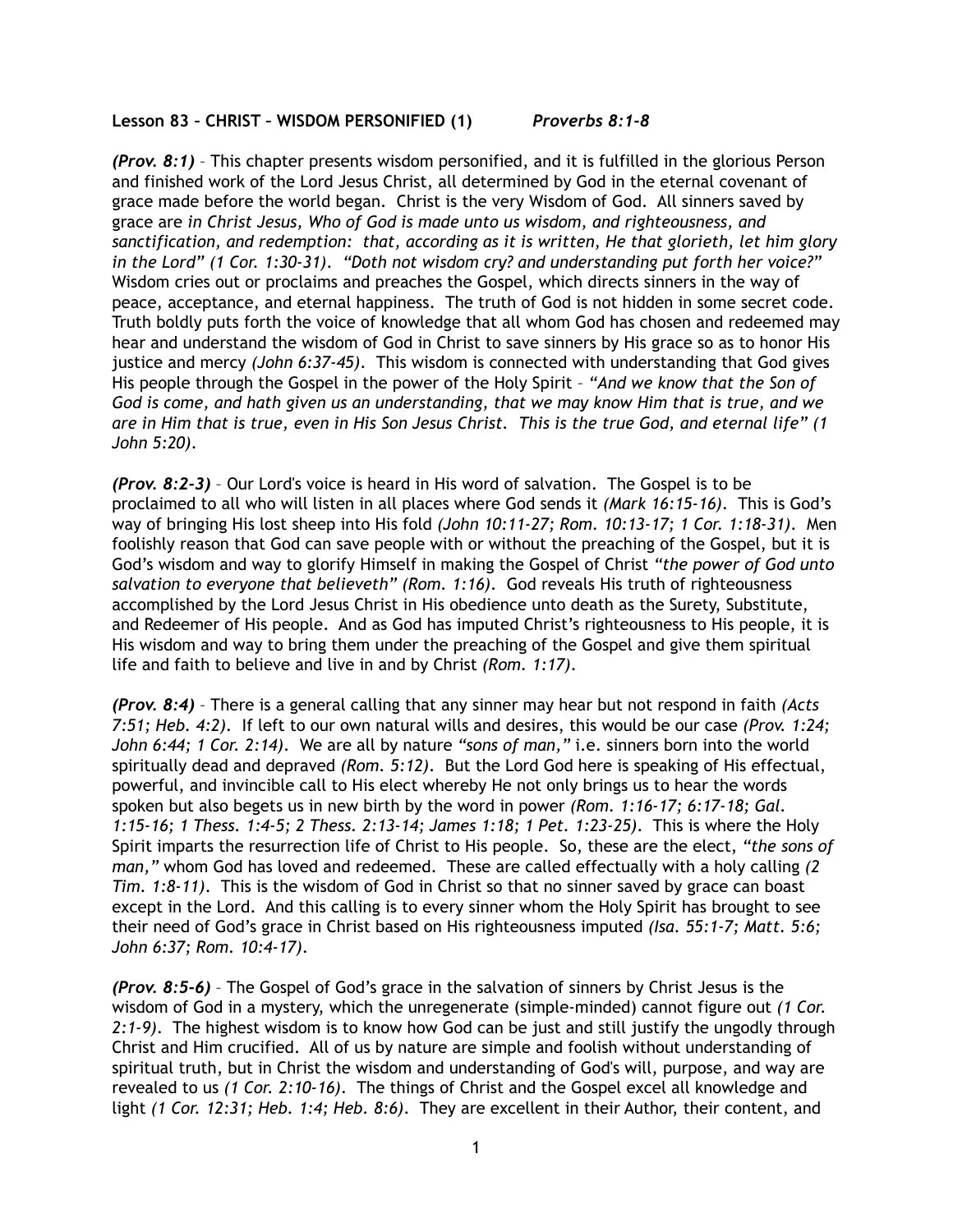## **Lesson 83 – CHRIST – WISDOM PERSONIFIED (1)** *Proverbs 8:1-8*

*(Prov. 8:1)* – This chapter presents wisdom personified, and it is fulfilled in the glorious Person and finished work of the Lord Jesus Christ, all determined by God in the eternal covenant of grace made before the world began. Christ is the very Wisdom of God. All sinners saved by grace are *in Christ Jesus, Who of God is made unto us wisdom, and righteousness, and sanctification, and redemption: that, according as it is written, He that glorieth, let him glory in the Lord" (1 Cor. 1:30-31)*. *"Doth not wisdom cry? and understanding put forth her voice?"* Wisdom cries out or proclaims and preaches the Gospel, which directs sinners in the way of peace, acceptance, and eternal happiness. The truth of God is not hidden in some secret code. Truth boldly puts forth the voice of knowledge that all whom God has chosen and redeemed may hear and understand the wisdom of God in Christ to save sinners by His grace so as to honor His justice and mercy *(John 6:37-45)*. This wisdom is connected with understanding that God gives His people through the Gospel in the power of the Holy Spirit – *"And we know that the Son of God is come, and hath given us an understanding, that we may know Him that is true, and we are in Him that is true, even in His Son Jesus Christ. This is the true God, and eternal life" (1 John 5:20)*.

*(Prov. 8:2-3)* – Our Lord's voice is heard in His word of salvation. The Gospel is to be proclaimed to all who will listen in all places where God sends it *(Mark 16:15-16)*. This is God's way of bringing His lost sheep into His fold *(John 10:11-27; Rom. 10:13-17; 1 Cor. 1:18-31)*. Men foolishly reason that God can save people with or without the preaching of the Gospel, but it is God's wisdom and way to glorify Himself in making the Gospel of Christ *"the power of God unto salvation to everyone that believeth" (Rom. 1:16)*. God reveals His truth of righteousness accomplished by the Lord Jesus Christ in His obedience unto death as the Surety, Substitute, and Redeemer of His people. And as God has imputed Christ's righteousness to His people, it is His wisdom and way to bring them under the preaching of the Gospel and give them spiritual life and faith to believe and live in and by Christ *(Rom. 1:17)*.

*(Prov. 8:4)* – There is a general calling that any sinner may hear but not respond in faith *(Acts 7:51; Heb. 4:2)*. If left to our own natural wills and desires, this would be our case *(Prov. 1:24; John 6:44; 1 Cor. 2:14)*. We are all by nature *"sons of man,"* i.e. sinners born into the world spiritually dead and depraved *(Rom. 5:12)*. But the Lord God here is speaking of His effectual, powerful, and invincible call to His elect whereby He not only brings us to hear the words spoken but also begets us in new birth by the word in power *(Rom. 1:16-17; 6:17-18; Gal. 1:15-16; 1 Thess. 1:4-5; 2 Thess. 2:13-14; James 1:18; 1 Pet. 1:23-25)*. This is where the Holy Spirit imparts the resurrection life of Christ to His people. So, these are the elect, *"the sons of man,"* whom God has loved and redeemed. These are called effectually with a holy calling *(2 Tim. 1:8-11)*. This is the wisdom of God in Christ so that no sinner saved by grace can boast except in the Lord. And this calling is to every sinner whom the Holy Spirit has brought to see their need of God's grace in Christ based on His righteousness imputed *(Isa. 55:1-7; Matt. 5:6; John 6:37; Rom. 10:4-17)*.

*(Prov. 8:5-6)* – The Gospel of God's grace in the salvation of sinners by Christ Jesus is the wisdom of God in a mystery, which the unregenerate (simple-minded) cannot figure out *(1 Cor. 2:1-9)*. The highest wisdom is to know how God can be just and still justify the ungodly through Christ and Him crucified. All of us by nature are simple and foolish without understanding of spiritual truth, but in Christ the wisdom and understanding of God's will, purpose, and way are revealed to us *(1 Cor. 2:10-16)*. The things of Christ and the Gospel excel all knowledge and light *(1 Cor. 12:31; Heb. 1:4; Heb. 8:6)*. They are excellent in their Author, their content, and